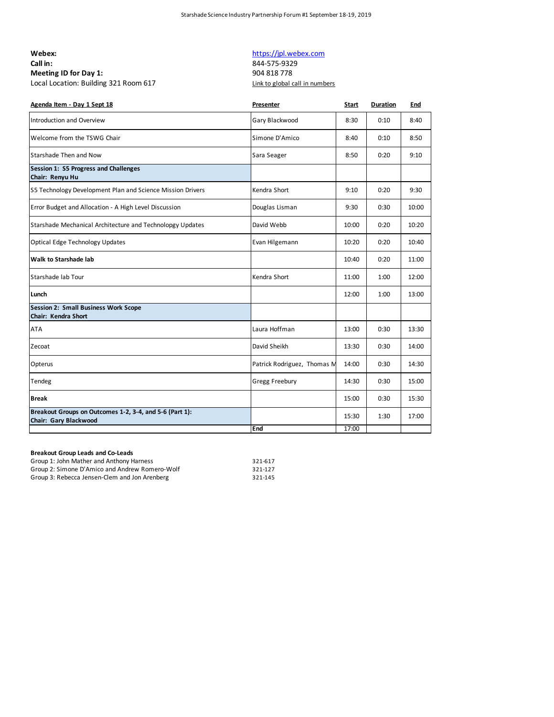| Webex:                                |
|---------------------------------------|
| Call in:                              |
| Meeting ID for Day 1:                 |
| Local Location: Building 321 Room 617 |

## https://jpl.webex.com

**Call in:** 844-575-9329 **Meeting ID for Day 1:** 904 818 778 local Link to global call in numbers and S21 Room 617

| Agenda Item - Day 1 Sept 18                                                      | Presenter                   | <b>Start</b> | Duration | End   |
|----------------------------------------------------------------------------------|-----------------------------|--------------|----------|-------|
| Introduction and Overview                                                        | Gary Blackwood              | 8:30         | 0:10     | 8:40  |
| Welcome from the TSWG Chair                                                      | Simone D'Amico              | 8:40         | 0:10     | 8:50  |
| Starshade Then and Now                                                           | Sara Seager                 | 8:50         | 0:20     | 9:10  |
| Session 1: S5 Progress and Challenges<br>Chair: Renyu Hu                         |                             |              |          |       |
| S5 Technology Development Plan and Science Mission Drivers                       | Kendra Short                | 9:10         | 0:20     | 9:30  |
| Error Budget and Allocation - A High Level Discussion                            | Douglas Lisman              | 9:30         | 0:30     | 10:00 |
| Starshade Mechanical Architecture and Technolopgy Updates                        | David Webb                  | 10:00        | 0:20     | 10:20 |
| Optical Edge Technology Updates                                                  | Evan Hilgemann              | 10:20        | 0:20     | 10:40 |
| <b>Walk to Starshade lab</b>                                                     |                             | 10:40        | 0:20     | 11:00 |
| Starshade lab Tour                                                               | Kendra Short                | 11:00        | 1:00     | 12:00 |
| Lunch                                                                            |                             | 12:00        | 1:00     | 13:00 |
| <b>Session 2: Small Business Work Scope</b><br>Chair: Kendra Short               |                             |              |          |       |
| <b>ATA</b>                                                                       | Laura Hoffman               | 13:00        | 0:30     | 13:30 |
| Zecoat                                                                           | David Sheikh                | 13:30        | 0:30     | 14:00 |
| Opterus                                                                          | Patrick Rodriguez, Thomas M | 14:00        | 0:30     | 14:30 |
| Tendeg                                                                           | Gregg Freebury              | 14:30        | 0:30     | 15:00 |
| <b>Break</b>                                                                     |                             | 15:00        | 0:30     | 15:30 |
| Breakout Groups on Outcomes 1-2, 3-4, and 5-6 (Part 1):<br>Chair: Gary Blackwood |                             | 15:30        | 1:30     | 17:00 |
|                                                                                  | End                         | 17:00        |          |       |

## **Breakout Group Leads and Co-Leads**

| Group 1: John Mather and Anthony Harness       | 321-617 |
|------------------------------------------------|---------|
| Group 2: Simone D'Amico and Andrew Romero-Wolf | 321-127 |
| Group 3: Rebecca Jensen-Clem and Jon Arenberg  | 321-145 |